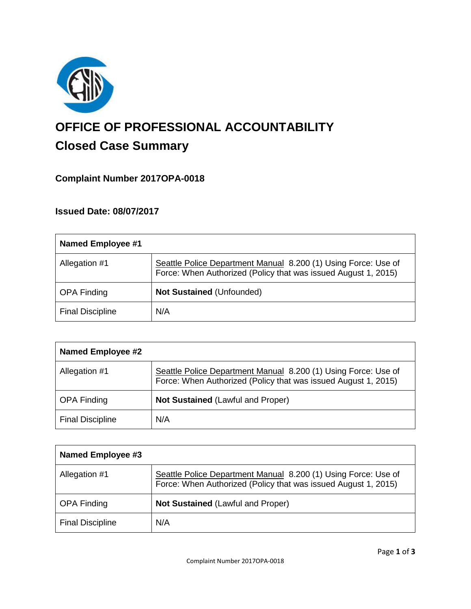

# **OFFICE OF PROFESSIONAL ACCOUNTABILITY Closed Case Summary**

## **Complaint Number 2017OPA-0018**

## **Issued Date: 08/07/2017**

| Named Employee #1       |                                                                                                                                  |
|-------------------------|----------------------------------------------------------------------------------------------------------------------------------|
| Allegation #1           | Seattle Police Department Manual 8.200 (1) Using Force: Use of<br>Force: When Authorized (Policy that was issued August 1, 2015) |
| <b>OPA Finding</b>      | <b>Not Sustained (Unfounded)</b>                                                                                                 |
| <b>Final Discipline</b> | N/A                                                                                                                              |

| <b>Named Employee #2</b> |                                                                                                                                  |
|--------------------------|----------------------------------------------------------------------------------------------------------------------------------|
| Allegation #1            | Seattle Police Department Manual 8.200 (1) Using Force: Use of<br>Force: When Authorized (Policy that was issued August 1, 2015) |
| <b>OPA Finding</b>       | Not Sustained (Lawful and Proper)                                                                                                |
| <b>Final Discipline</b>  | N/A                                                                                                                              |

| Named Employee #3       |                                                                                                                                  |
|-------------------------|----------------------------------------------------------------------------------------------------------------------------------|
| Allegation #1           | Seattle Police Department Manual 8.200 (1) Using Force: Use of<br>Force: When Authorized (Policy that was issued August 1, 2015) |
| <b>OPA Finding</b>      | Not Sustained (Lawful and Proper)                                                                                                |
| <b>Final Discipline</b> | N/A                                                                                                                              |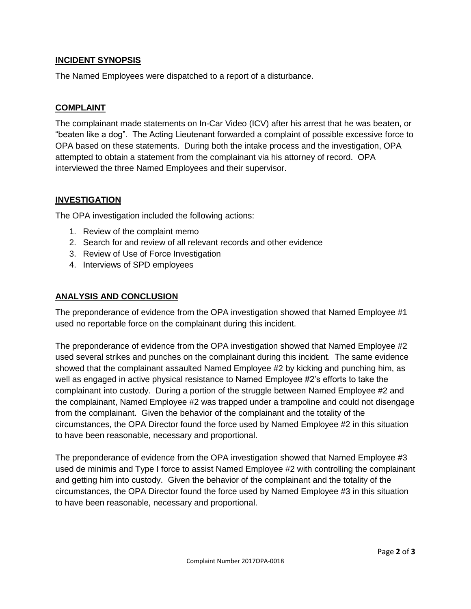## **INCIDENT SYNOPSIS**

The Named Employees were dispatched to a report of a disturbance.

## **COMPLAINT**

The complainant made statements on In-Car Video (ICV) after his arrest that he was beaten, or "beaten like a dog". The Acting Lieutenant forwarded a complaint of possible excessive force to OPA based on these statements. During both the intake process and the investigation, OPA attempted to obtain a statement from the complainant via his attorney of record. OPA interviewed the three Named Employees and their supervisor.

## **INVESTIGATION**

The OPA investigation included the following actions:

- 1. Review of the complaint memo
- 2. Search for and review of all relevant records and other evidence
- 3. Review of Use of Force Investigation
- 4. Interviews of SPD employees

## **ANALYSIS AND CONCLUSION**

The preponderance of evidence from the OPA investigation showed that Named Employee #1 used no reportable force on the complainant during this incident.

The preponderance of evidence from the OPA investigation showed that Named Employee #2 used several strikes and punches on the complainant during this incident. The same evidence showed that the complainant assaulted Named Employee #2 by kicking and punching him, as well as engaged in active physical resistance to Named Employee #2's efforts to take the complainant into custody. During a portion of the struggle between Named Employee #2 and the complainant, Named Employee #2 was trapped under a trampoline and could not disengage from the complainant. Given the behavior of the complainant and the totality of the circumstances, the OPA Director found the force used by Named Employee #2 in this situation to have been reasonable, necessary and proportional.

The preponderance of evidence from the OPA investigation showed that Named Employee #3 used de minimis and Type I force to assist Named Employee #2 with controlling the complainant and getting him into custody. Given the behavior of the complainant and the totality of the circumstances, the OPA Director found the force used by Named Employee #3 in this situation to have been reasonable, necessary and proportional.